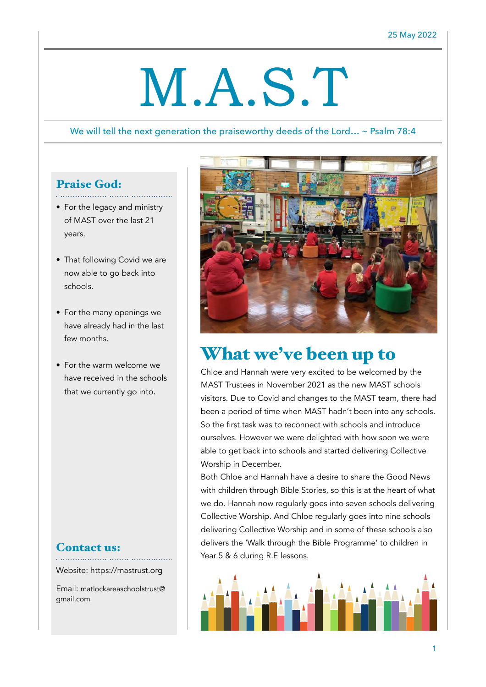# M.A.S.T

#### We will tell the next generation the praiseworthy deeds of the Lord... ~ Psalm 78:4

#### Praise God:

- For the legacy and ministry of MAST over the last 21 years.
- That following Covid we are now able to go back into schools.
- For the many openings we have already had in the last few months.
- For the warm welcome we have received in the schools that we currently go into.

#### Contact us:

Website: https://mastrust.org

Email: matlockareaschoolstrust@ gmail.com



## What we've been up to

Chloe and Hannah were very excited to be welcomed by the MAST Trustees in November 2021 as the new MAST schools visitors. Due to Covid and changes to the MAST team, there had been a period of time when MAST hadn't been into any schools. So the first task was to reconnect with schools and introduce ourselves. However we were delighted with how soon we were able to get back into schools and started delivering Collective Worship in December.

Both Chloe and Hannah have a desire to share the Good News with children through Bible Stories, so this is at the heart of what we do. Hannah now regularly goes into seven schools delivering Collective Worship. And Chloe regularly goes into nine schools delivering Collective Worship and in some of these schools also delivers the 'Walk through the Bible Programme' to children in Year 5 & 6 during R.E lessons.